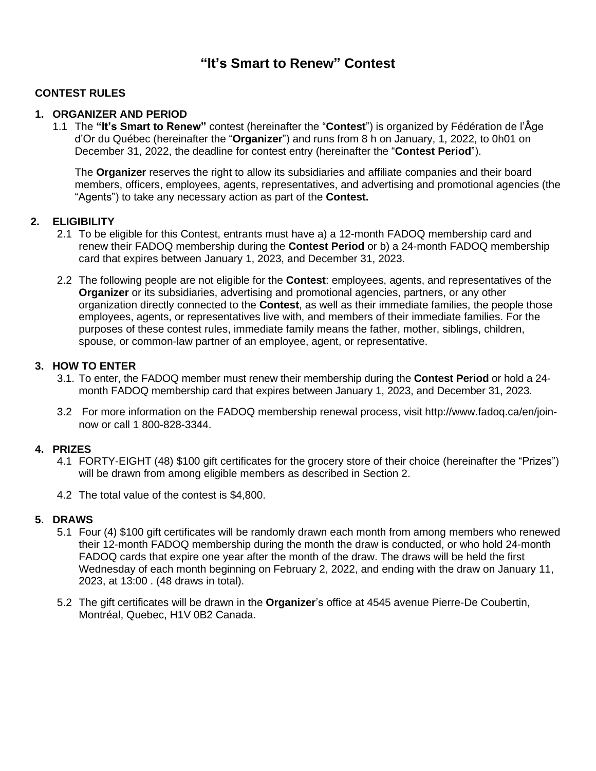# **"It's Smart to Renew" Contest**

## **CONTEST RULES**

## **1. ORGANIZER AND PERIOD**

1.1 The **"It's Smart to Renew"** contest (hereinafter the "**Contest**") is organized by Fédération de l'Âge d'Or du Québec (hereinafter the "**Organizer**") and runs from 8 h on January, 1, 2022, to 0h01 on December 31, 2022, the deadline for contest entry (hereinafter the "**Contest Period**").

The **Organizer** reserves the right to allow its subsidiaries and affiliate companies and their board members, officers, employees, agents, representatives, and advertising and promotional agencies (the "Agents") to take any necessary action as part of the **Contest.**

### **2. ELIGIBILITY**

- 2.1 To be eligible for this Contest, entrants must have a) a 12-month FADOQ membership card and renew their FADOQ membership during the **Contest Period** or b) a 24-month FADOQ membership card that expires between January 1, 2023, and December 31, 2023.
- 2.2 The following people are not eligible for the **Contest**: employees, agents, and representatives of the **Organizer** or its subsidiaries, advertising and promotional agencies, partners, or any other organization directly connected to the **Contest**, as well as their immediate families, the people those employees, agents, or representatives live with, and members of their immediate families. For the purposes of these contest rules, immediate family means the father, mother, siblings, children, spouse, or common-law partner of an employee, agent, or representative.

### **3. HOW TO ENTER**

- 3.1. To enter, the FADOQ member must renew their membership during the **Contest Period** or hold a 24 month FADOQ membership card that expires between January 1, 2023, and December 31, 2023.
- 3.2 For more information on the FADOQ membership renewal process, visit [http://www.fadoq.ca/en/join](https://www.fadoq.ca/adherez)now or call 1 800-828-3344.

#### **4. PRIZES**

- 4.1 FORTY-EIGHT (48) \$100 gift certificates for the grocery store of their choice (hereinafter the "Prizes") will be drawn from among eligible members as described in Section 2.
- 4.2 The total value of the contest is \$4,800.

## **5. DRAWS**

- 5.1 Four (4) \$100 gift certificates will be randomly drawn each month from among members who renewed their 12-month FADOQ membership during the month the draw is conducted, or who hold 24-month FADOQ cards that expire one year after the month of the draw. The draws will be held the first Wednesday of each month beginning on February 2, 2022, and ending with the draw on January 11, 2023, at 13:00 . (48 draws in total).
- 5.2 The gift certificates will be drawn in the **Organizer**'s office at 4545 avenue Pierre-De Coubertin, Montréal, Quebec, H1V 0B2 Canada.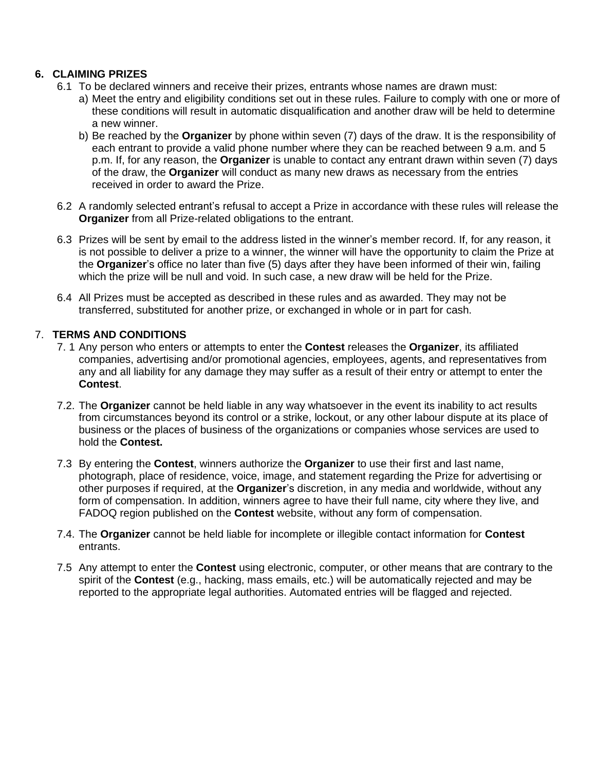## **6. CLAIMING PRIZES**

- 6.1 To be declared winners and receive their prizes, entrants whose names are drawn must:
	- a) Meet the entry and eligibility conditions set out in these rules. Failure to comply with one or more of these conditions will result in automatic disqualification and another draw will be held to determine a new winner.
	- b) Be reached by the **Organizer** by phone within seven (7) days of the draw. It is the responsibility of each entrant to provide a valid phone number where they can be reached between 9 a.m. and 5 p.m. If, for any reason, the **Organizer** is unable to contact any entrant drawn within seven (7) days of the draw, the **Organizer** will conduct as many new draws as necessary from the entries received in order to award the Prize.
- 6.2 A randomly selected entrant's refusal to accept a Prize in accordance with these rules will release the **Organizer** from all Prize-related obligations to the entrant.
- 6.3 Prizes will be sent by email to the address listed in the winner's member record. If, for any reason, it is not possible to deliver a prize to a winner, the winner will have the opportunity to claim the Prize at the **Organizer**'s office no later than five (5) days after they have been informed of their win, failing which the prize will be null and void. In such case, a new draw will be held for the Prize.
- 6.4 All Prizes must be accepted as described in these rules and as awarded. They may not be transferred, substituted for another prize, or exchanged in whole or in part for cash.

## 7. **TERMS AND CONDITIONS**

- 7. 1 Any person who enters or attempts to enter the **Contest** releases the **Organizer**, its affiliated companies, advertising and/or promotional agencies, employees, agents, and representatives from any and all liability for any damage they may suffer as a result of their entry or attempt to enter the **Contest**.
- 7.2. The **Organizer** cannot be held liable in any way whatsoever in the event its inability to act results from circumstances beyond its control or a strike, lockout, or any other labour dispute at its place of business or the places of business of the organizations or companies whose services are used to hold the **Contest.**
- 7.3 By entering the **Contest**, winners authorize the **Organizer** to use their first and last name, photograph, place of residence, voice, image, and statement regarding the Prize for advertising or other purposes if required, at the **Organizer**'s discretion, in any media and worldwide, without any form of compensation. In addition, winners agree to have their full name, city where they live, and FADOQ region published on the **Contest** website, without any form of compensation.
- 7.4. The **Organizer** cannot be held liable for incomplete or illegible contact information for **Contest** entrants.
- 7.5 Any attempt to enter the **Contest** using electronic, computer, or other means that are contrary to the spirit of the **Contest** (e.g., hacking, mass emails, etc.) will be automatically rejected and may be reported to the appropriate legal authorities. Automated entries will be flagged and rejected.